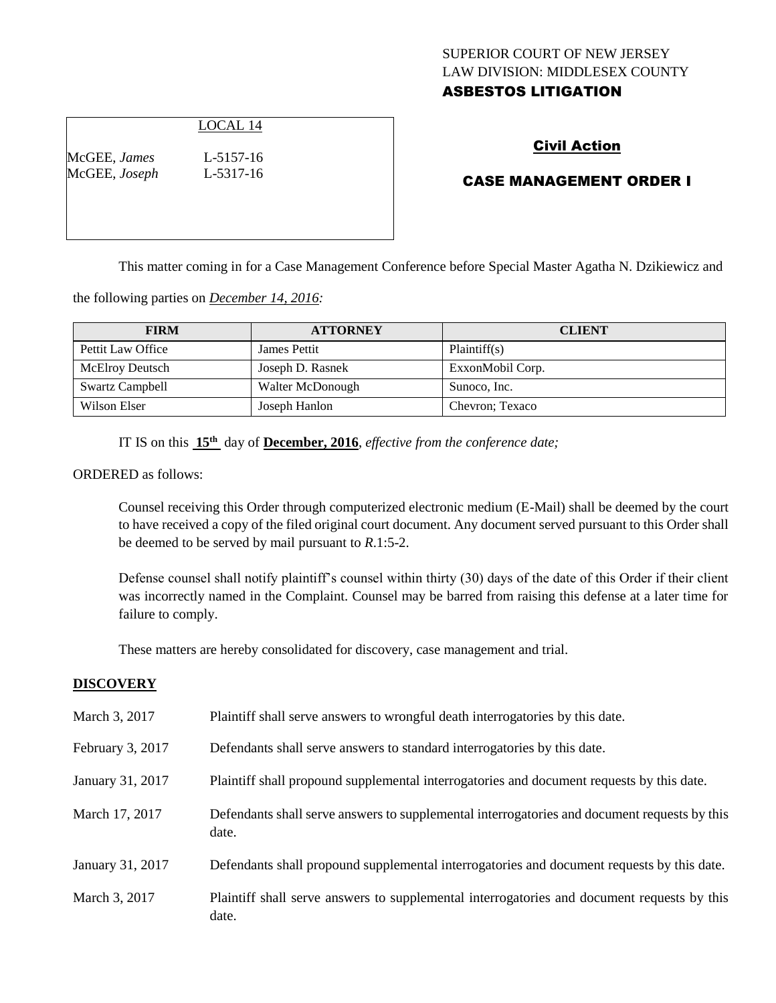# SUPERIOR COURT OF NEW JERSEY LAW DIVISION: MIDDLESEX COUNTY ASBESTOS LITIGATION

# LOCAL 14

McGEE, *James* L-5157-16 McGEE, *Joseph* L-5317-16

# Civil Action

# CASE MANAGEMENT ORDER I

This matter coming in for a Case Management Conference before Special Master Agatha N. Dzikiewicz and

the following parties on *December 14, 2016:*

| <b>FIRM</b>            | <b>ATTORNEY</b>  | <b>CLIENT</b>    |
|------------------------|------------------|------------------|
| Pettit Law Office      | James Pettit     | Plaintiff(s)     |
| <b>McElroy Deutsch</b> | Joseph D. Rasnek | ExxonMobil Corp. |
| <b>Swartz Campbell</b> | Walter McDonough | Sunoco, Inc.     |
| Wilson Elser           | Joseph Hanlon    | Chevron; Texaco  |

IT IS on this **15th** day of **December, 2016**, *effective from the conference date;*

ORDERED as follows:

Counsel receiving this Order through computerized electronic medium (E-Mail) shall be deemed by the court to have received a copy of the filed original court document. Any document served pursuant to this Order shall be deemed to be served by mail pursuant to *R*.1:5-2.

Defense counsel shall notify plaintiff's counsel within thirty (30) days of the date of this Order if their client was incorrectly named in the Complaint. Counsel may be barred from raising this defense at a later time for failure to comply.

These matters are hereby consolidated for discovery, case management and trial.

#### **DISCOVERY**

| March 3, 2017    | Plaintiff shall serve answers to wrongful death interrogatories by this date.                         |
|------------------|-------------------------------------------------------------------------------------------------------|
| February 3, 2017 | Defendants shall serve answers to standard interrogatories by this date.                              |
| January 31, 2017 | Plaintiff shall propound supplemental interrogatories and document requests by this date.             |
| March 17, 2017   | Defendants shall serve answers to supplemental interrogatories and document requests by this<br>date. |
| January 31, 2017 | Defendants shall propound supplemental interrogatories and document requests by this date.            |
| March 3, 2017    | Plaintiff shall serve answers to supplemental interrogatories and document requests by this<br>date.  |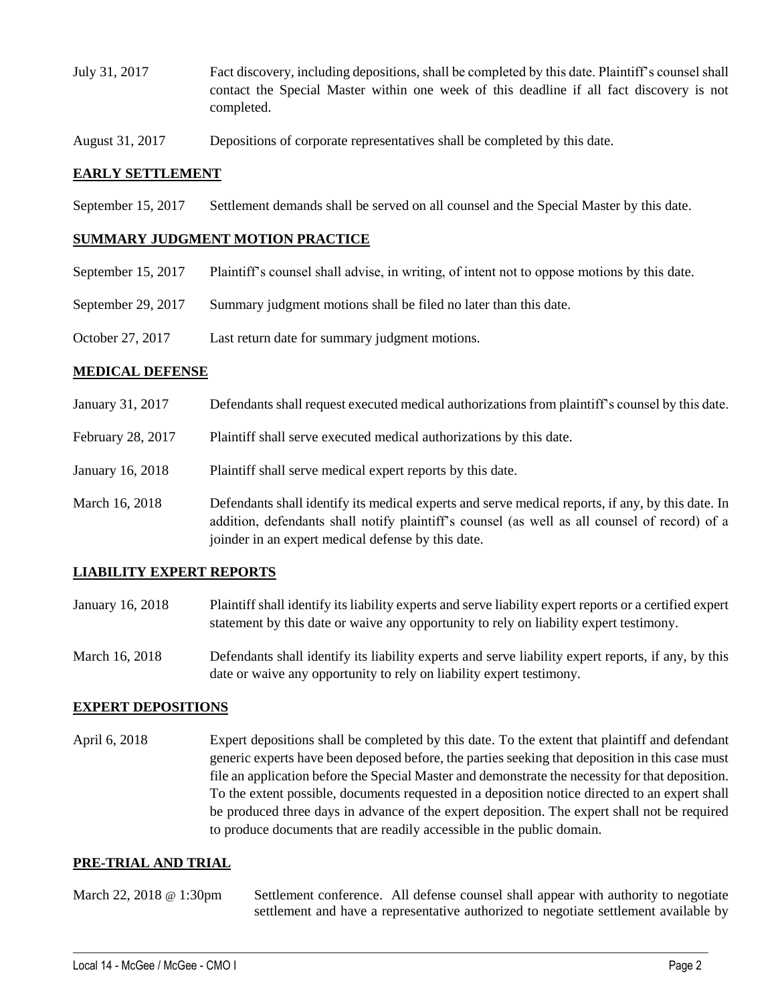- July 31, 2017 Fact discovery, including depositions, shall be completed by this date. Plaintiff's counsel shall contact the Special Master within one week of this deadline if all fact discovery is not completed.
- August 31, 2017 Depositions of corporate representatives shall be completed by this date.

## **EARLY SETTLEMENT**

September 15, 2017 Settlement demands shall be served on all counsel and the Special Master by this date.

## **SUMMARY JUDGMENT MOTION PRACTICE**

- September 15, 2017 Plaintiff's counsel shall advise, in writing, of intent not to oppose motions by this date.
- September 29, 2017 Summary judgment motions shall be filed no later than this date.
- October 27, 2017 Last return date for summary judgment motions.

## **MEDICAL DEFENSE**

- January 31, 2017 Defendants shall request executed medical authorizations from plaintiff's counsel by this date.
- February 28, 2017 Plaintiff shall serve executed medical authorizations by this date.
- January 16, 2018 Plaintiff shall serve medical expert reports by this date.
- March 16, 2018 Defendants shall identify its medical experts and serve medical reports, if any, by this date. In addition, defendants shall notify plaintiff's counsel (as well as all counsel of record) of a joinder in an expert medical defense by this date.

## **LIABILITY EXPERT REPORTS**

- January 16, 2018 Plaintiff shall identify its liability experts and serve liability expert reports or a certified expert statement by this date or waive any opportunity to rely on liability expert testimony.
- March 16, 2018 Defendants shall identify its liability experts and serve liability expert reports, if any, by this date or waive any opportunity to rely on liability expert testimony.

## **EXPERT DEPOSITIONS**

April 6, 2018 Expert depositions shall be completed by this date. To the extent that plaintiff and defendant generic experts have been deposed before, the parties seeking that deposition in this case must file an application before the Special Master and demonstrate the necessity for that deposition. To the extent possible, documents requested in a deposition notice directed to an expert shall be produced three days in advance of the expert deposition. The expert shall not be required to produce documents that are readily accessible in the public domain.

#### **PRE-TRIAL AND TRIAL**

March 22, 2018 @ 1:30pm Settlement conference. All defense counsel shall appear with authority to negotiate settlement and have a representative authorized to negotiate settlement available by

 $\_$  ,  $\_$  ,  $\_$  ,  $\_$  ,  $\_$  ,  $\_$  ,  $\_$  ,  $\_$  ,  $\_$  ,  $\_$  ,  $\_$  ,  $\_$  ,  $\_$  ,  $\_$  ,  $\_$  ,  $\_$  ,  $\_$  ,  $\_$  ,  $\_$  ,  $\_$  ,  $\_$  ,  $\_$  ,  $\_$  ,  $\_$  ,  $\_$  ,  $\_$  ,  $\_$  ,  $\_$  ,  $\_$  ,  $\_$  ,  $\_$  ,  $\_$  ,  $\_$  ,  $\_$  ,  $\_$  ,  $\_$  ,  $\_$  ,